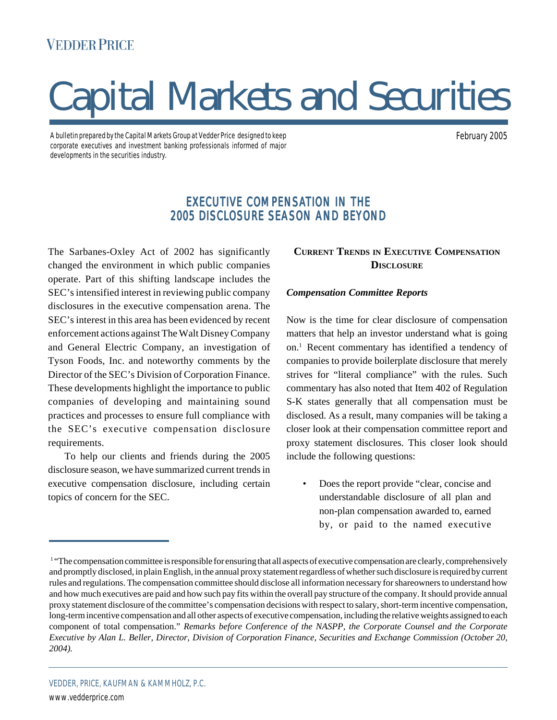# **VEDDER PRICE**

# Capital Markets and Securities

A bulletin prepared by the Capital Markets Group at Vedder Price designed to keep corporate executives and investment banking professionals informed of major developments in the securities industry.

February 2005

# EXECUTIVE COMPENSATION IN THE 2005 DISCLOSURE SEASON AND BEYOND

The Sarbanes-Oxley Act of 2002 has significantly changed the environment in which public companies operate. Part of this shifting landscape includes the SEC's intensified interest in reviewing public company disclosures in the executive compensation arena. The SEC's interest in this area has been evidenced by recent enforcement actions against The Walt Disney Company and General Electric Company, an investigation of Tyson Foods, Inc. and noteworthy comments by the Director of the SEC's Division of Corporation Finance. These developments highlight the importance to public companies of developing and maintaining sound practices and processes to ensure full compliance with the SEC's executive compensation disclosure requirements.

To help our clients and friends during the 2005 disclosure season, we have summarized current trends in executive compensation disclosure, including certain topics of concern for the SEC.

# **CURRENT TRENDS IN EXECUTIVE COMPENSATION DISCLOSURE**

#### *Compensation Committee Reports*

Now is the time for clear disclosure of compensation matters that help an investor understand what is going on.1 Recent commentary has identified a tendency of companies to provide boilerplate disclosure that merely strives for "literal compliance" with the rules. Such commentary has also noted that Item 402 of Regulation S-K states generally that all compensation must be disclosed. As a result, many companies will be taking a closer look at their compensation committee report and proxy statement disclosures. This closer look should include the following questions:

Does the report provide "clear, concise and understandable disclosure of all plan and non-plan compensation awarded to, earned by, or paid to the named executive

<sup>&</sup>lt;sup>1</sup> "The compensation committee is responsible for ensuring that all aspects of executive compensation are clearly, comprehensively and promptly disclosed, in plain English, in the annual proxy statement regardless of whether such disclosure is required by current rules and regulations. The compensation committee should disclose all information necessary for shareowners to understand how and how much executives are paid and how such pay fits within the overall pay structure of the company. It should provide annual proxy statement disclosure of the committee's compensation decisions with respect to salary, short-term incentive compensation, long-term incentive compensation and all other aspects of executive compensation, including the relative weights assigned to each component of total compensation." *Remarks before Conference of the NASPP, the Corporate Counsel and the Corporate Executive by Alan L. Beller, Director, Division of Corporation Finance, Securities and Exchange Commission (October 20, 2004).*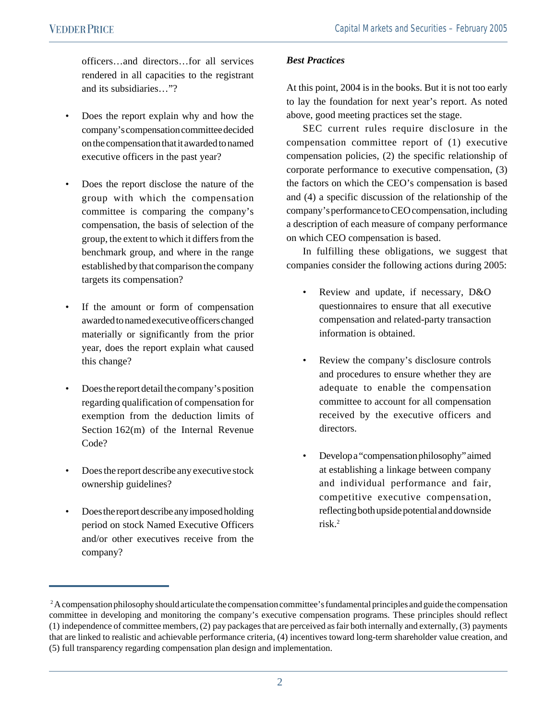officers…and directors…for all services rendered in all capacities to the registrant and its subsidiaries…"?

- Does the report explain why and how the company's compensation committee decided on the compensation that it awarded to named executive officers in the past year?
- Does the report disclose the nature of the group with which the compensation committee is comparing the company's compensation, the basis of selection of the group, the extent to which it differs from the benchmark group, and where in the range established by that comparison the company targets its compensation?
- If the amount or form of compensation awarded to named executive officers changed materially or significantly from the prior year, does the report explain what caused this change?
- Does the report detail the company's position regarding qualification of compensation for exemption from the deduction limits of Section 162(m) of the Internal Revenue Code?
- Does the report describe any executive stock ownership guidelines?
- Does the report describe any imposed holding period on stock Named Executive Officers and/or other executives receive from the company?

## *Best Practices*

At this point, 2004 is in the books. But it is not too early to lay the foundation for next year's report. As noted above, good meeting practices set the stage.

SEC current rules require disclosure in the compensation committee report of (1) executive compensation policies, (2) the specific relationship of corporate performance to executive compensation, (3) the factors on which the CEO's compensation is based and (4) a specific discussion of the relationship of the company's performance to CEO compensation, including a description of each measure of company performance on which CEO compensation is based.

In fulfilling these obligations, we suggest that companies consider the following actions during 2005:

- Review and update, if necessary, D&O questionnaires to ensure that all executive compensation and related-party transaction information is obtained.
- Review the company's disclosure controls and procedures to ensure whether they are adequate to enable the compensation committee to account for all compensation received by the executive officers and directors.
- Develop a "compensation philosophy" aimed at establishing a linkage between company and individual performance and fair, competitive executive compensation, reflecting both upside potential and downside risk.2

<sup>&</sup>lt;sup>2</sup> A compensation philosophy should articulate the compensation committee's fundamental principles and guide the compensation committee in developing and monitoring the company's executive compensation programs. These principles should reflect (1) independence of committee members, (2) pay packages that are perceived as fair both internally and externally, (3) payments that are linked to realistic and achievable performance criteria, (4) incentives toward long-term shareholder value creation, and (5) full transparency regarding compensation plan design and implementation.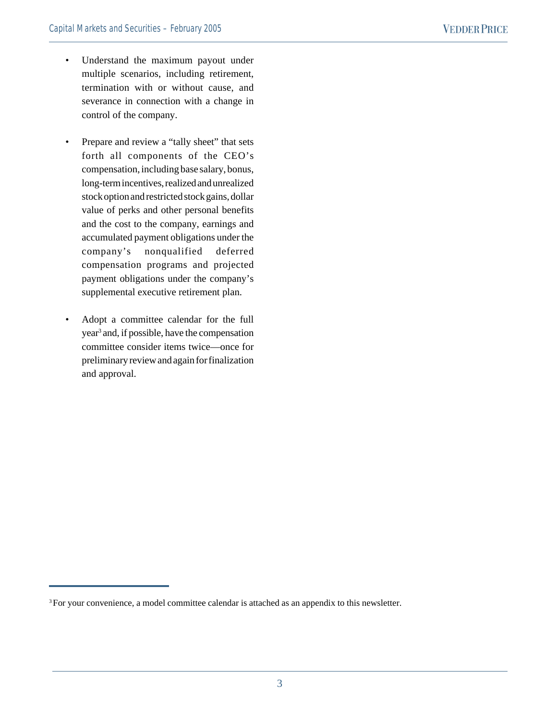- Understand the maximum payout under multiple scenarios, including retirement, termination with or without cause, and severance in connection with a change in control of the company.
- Prepare and review a "tally sheet" that sets forth all components of the CEO's compensation, including base salary, bonus, long-term incentives, realized and unrealized stock option and restricted stock gains, dollar value of perks and other personal benefits and the cost to the company, earnings and accumulated payment obligations under the company's nonqualified deferred compensation programs and projected payment obligations under the company's supplemental executive retirement plan.
- Adopt a committee calendar for the full year3 and, if possible, have the compensation committee consider items twice—once for preliminary review and again for finalization and approval.

<sup>&</sup>lt;sup>3</sup> For your convenience, a model committee calendar is attached as an appendix to this newsletter.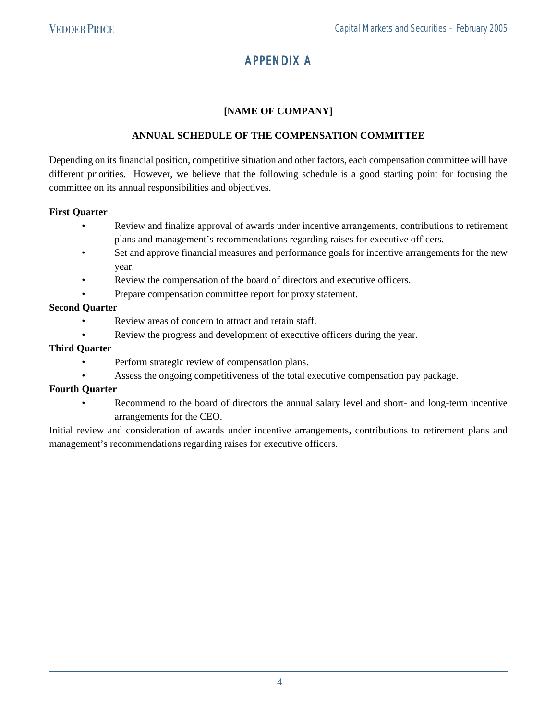# APPENDIX A

# **[NAME OF COMPANY]**

## **ANNUAL SCHEDULE OF THE COMPENSATION COMMITTEE**

Depending on its financial position, competitive situation and other factors, each compensation committee will have different priorities. However, we believe that the following schedule is a good starting point for focusing the committee on its annual responsibilities and objectives.

#### **First Quarter**

- Review and finalize approval of awards under incentive arrangements, contributions to retirement plans and management's recommendations regarding raises for executive officers.
- Set and approve financial measures and performance goals for incentive arrangements for the new year.
- Review the compensation of the board of directors and executive officers.
- Prepare compensation committee report for proxy statement.

#### **Second Quarter**

- Review areas of concern to attract and retain staff.
- Review the progress and development of executive officers during the year.

#### **Third Quarter**

- Perform strategic review of compensation plans.
- Assess the ongoing competitiveness of the total executive compensation pay package.

#### **Fourth Quarter**

• Recommend to the board of directors the annual salary level and short- and long-term incentive arrangements for the CEO.

Initial review and consideration of awards under incentive arrangements, contributions to retirement plans and management's recommendations regarding raises for executive officers.